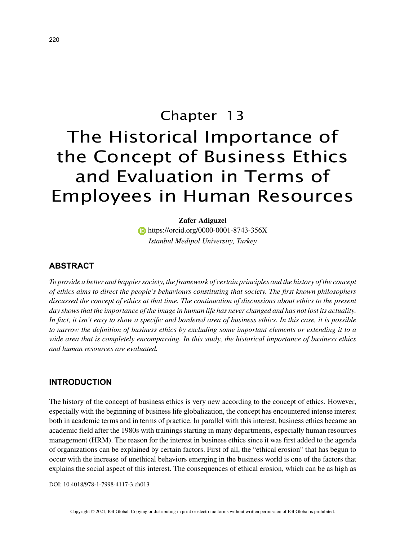# Chapter 13 The Historical Importance of the Concept of Business Ethics and Evaluation in Terms of Employees in Human Resources

**Zafer Adiguzel https://orcid.org/0000-0001-8743-356X** *Istanbul Medipol University, Turkey*

#### **ABSTRACT**

*To provide a better and happier society, the framework of certain principles and the history of the concept of ethics aims to direct the people's behaviours constituting that society. The first known philosophers discussed the concept of ethics at that time. The continuation of discussions about ethics to the present day shows that the importance of the image in human life has never changed and has not lost its actuality. In fact, it isn't easy to show a specific and bordered area of business ethics. In this case, it is possible to narrow the definition of business ethics by excluding some important elements or extending it to a wide area that is completely encompassing. In this study, the historical importance of business ethics and human resources are evaluated.*

### **INTRODUCTION**

The history of the concept of business ethics is very new according to the concept of ethics. However, especially with the beginning of business life globalization, the concept has encountered intense interest both in academic terms and in terms of practice. In parallel with this interest, business ethics became an academic field after the 1980s with trainings starting in many departments, especially human resources management (HRM). The reason for the interest in business ethics since it was first added to the agenda of organizations can be explained by certain factors. First of all, the "ethical erosion" that has begun to occur with the increase of unethical behaviors emerging in the business world is one of the factors that explains the social aspect of this interest. The consequences of ethical erosion, which can be as high as

DOI: 10.4018/978-1-7998-4117-3.ch013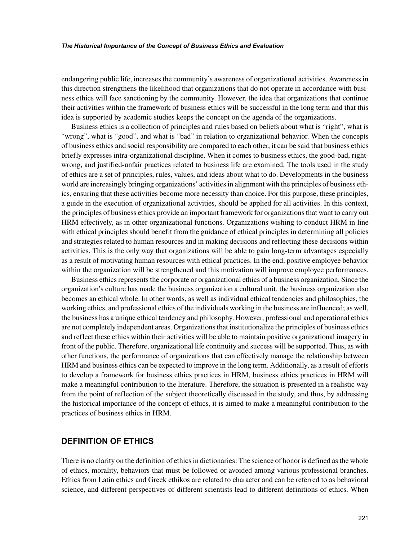#### *The Historical Importance of the Concept of Business Ethics and Evaluation*

endangering public life, increases the community's awareness of organizational activities. Awareness in this direction strengthens the likelihood that organizations that do not operate in accordance with business ethics will face sanctioning by the community. However, the idea that organizations that continue their activities within the framework of business ethics will be successful in the long term and that this idea is supported by academic studies keeps the concept on the agenda of the organizations.

Business ethics is a collection of principles and rules based on beliefs about what is "right", what is "wrong", what is "good", and what is "bad" in relation to organizational behavior. When the concepts of business ethics and social responsibility are compared to each other, it can be said that business ethics briefly expresses intra-organizational discipline. When it comes to business ethics, the good-bad, rightwrong, and justified-unfair practices related to business life are examined. The tools used in the study of ethics are a set of principles, rules, values, and ideas about what to do. Developments in the business world are increasingly bringing organizations' activities in alignment with the principles of business ethics, ensuring that these activities become more necessity than choice. For this purpose, these principles, a guide in the execution of organizational activities, should be applied for all activities. In this context, the principles of business ethics provide an important framework for organizations that want to carry out HRM effectively, as in other organizational functions. Organizations wishing to conduct HRM in line with ethical principles should benefit from the guidance of ethical principles in determining all policies and strategies related to human resources and in making decisions and reflecting these decisions within activities. This is the only way that organizations will be able to gain long-term advantages especially as a result of motivating human resources with ethical practices. In the end, positive employee behavior within the organization will be strengthened and this motivation will improve employee performances.

Business ethics represents the corporate or organizational ethics of a business organization. Since the organization's culture has made the business organization a cultural unit, the business organization also becomes an ethical whole. In other words, as well as individual ethical tendencies and philosophies, the working ethics, and professional ethics of the individuals working in the business are influenced; as well, the business has a unique ethical tendency and philosophy. However, professional and operational ethics are not completely independent areas. Organizations that institutionalize the principles of business ethics and reflect these ethics within their activities will be able to maintain positive organizational imagery in front of the public. Therefore, organizational life continuity and success will be supported. Thus, as with other functions, the performance of organizations that can effectively manage the relationship between HRM and business ethics can be expected to improve in the long term. Additionally, as a result of efforts to develop a framework for business ethics practices in HRM, business ethics practices in HRM will make a meaningful contribution to the literature. Therefore, the situation is presented in a realistic way from the point of reflection of the subject theoretically discussed in the study, and thus, by addressing the historical importance of the concept of ethics, it is aimed to make a meaningful contribution to the practices of business ethics in HRM.

#### **DEFINITION OF ETHICS**

There is no clarity on the definition of ethics in dictionaries: The science of honor is defined as the whole of ethics, morality, behaviors that must be followed or avoided among various professional branches. Ethics from Latin ethics and Greek ethikos are related to character and can be referred to as behavioral science, and different perspectives of different scientists lead to different definitions of ethics. When